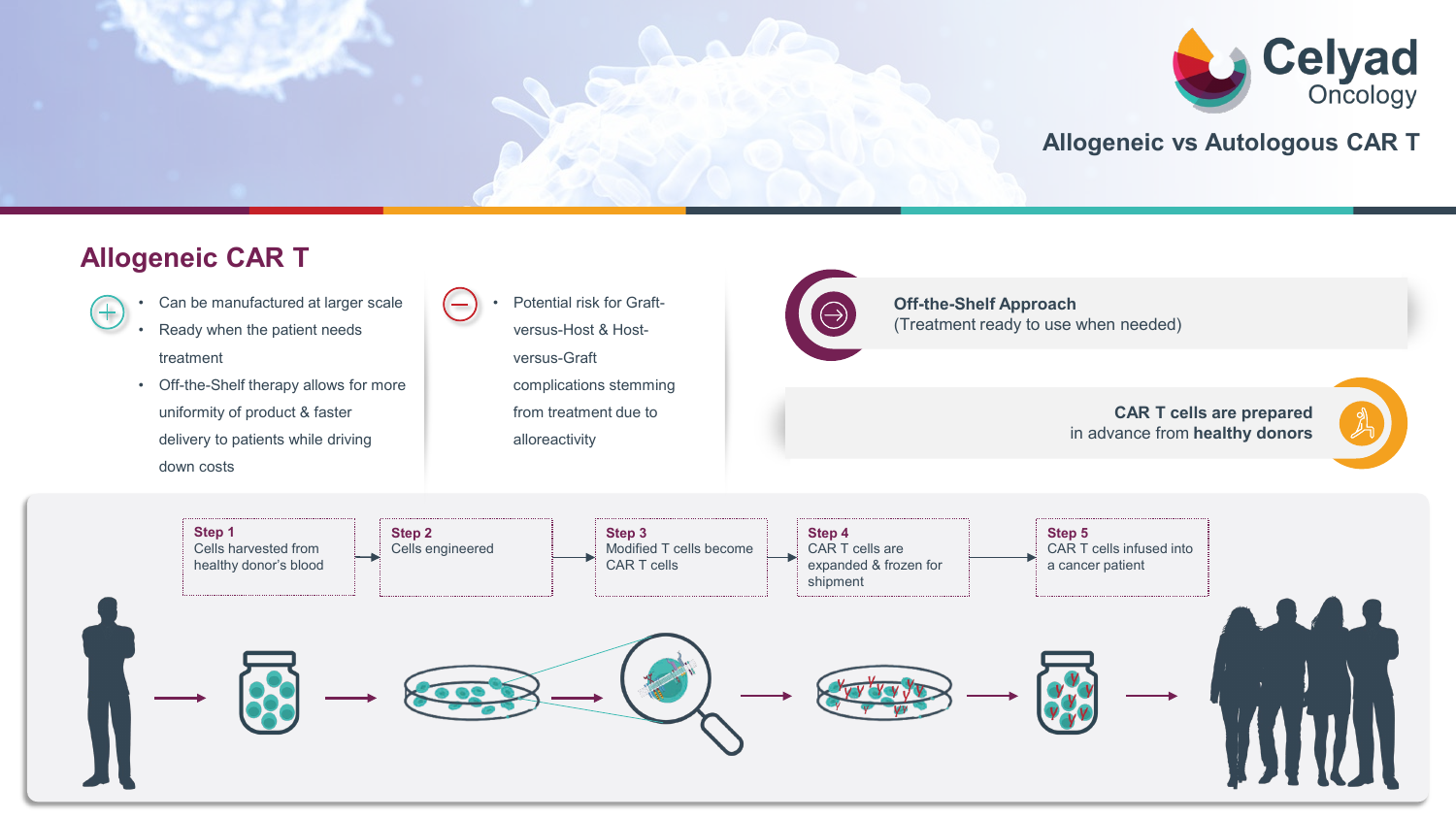

### **Allogeneic vs Autologous CAR T**

## **Allogeneic CAR T**

- $^{+}$
- Can be manufactured at larger scale
- Ready when the patient needs treatment
- Off-the-Shelf therapy allows for more uniformity of product & faster delivery to patients while driving down costs

• Potential risk for Graftversus-Host & Hostversus-Graft complications stemming from treatment due to alloreactivity



**Off-the-Shelf Approach** (Treatment ready to use when needed)

#### **CAR T cells are prepared** in advance from **healthy donors**